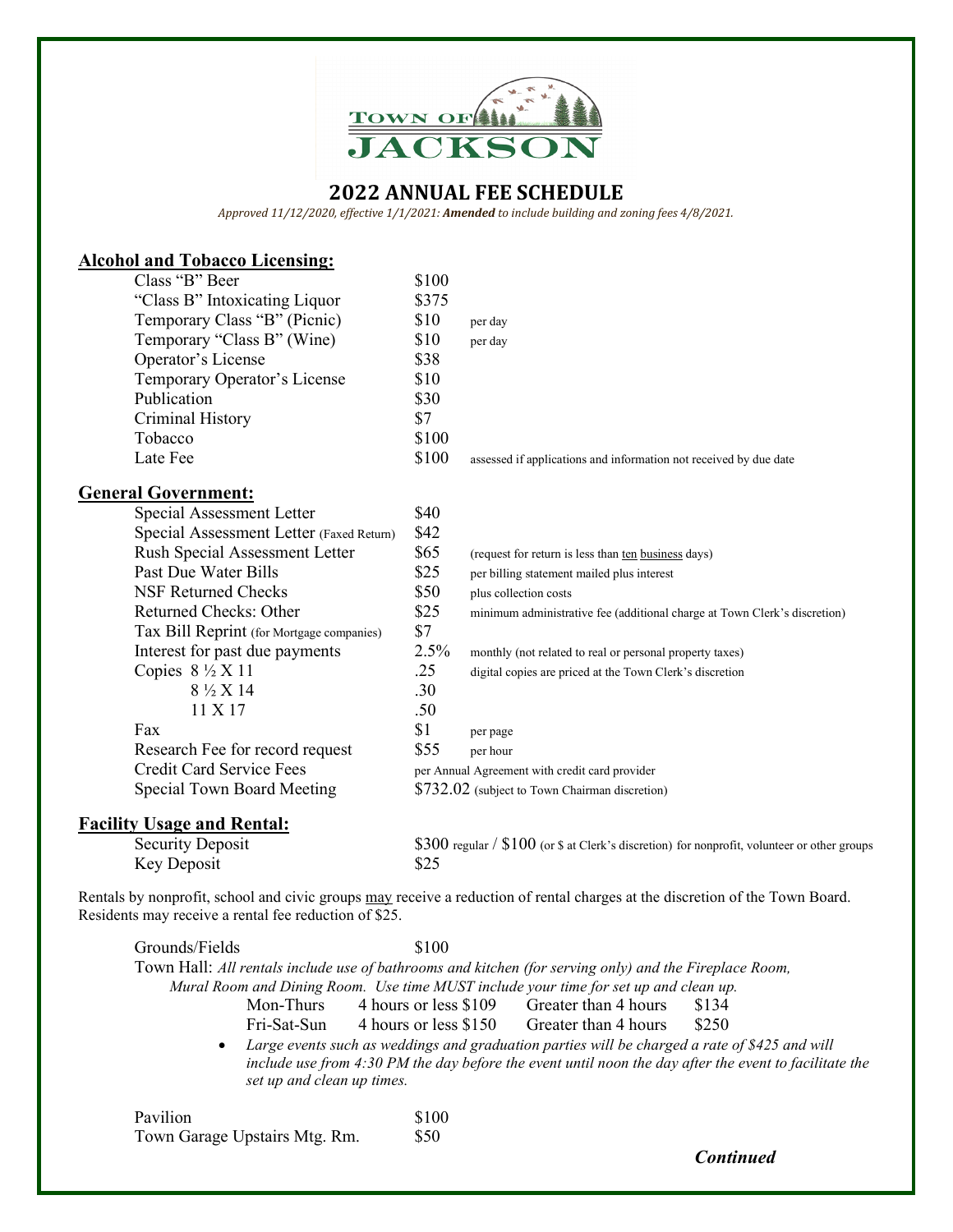

*Approved 11/12/2020, effective 1/1/2021: Amended to include building and zoning fees 4/8/2021.*

| <b>Alcohol and Tobacco Licensing:</b>     |       |                                                                                              |
|-------------------------------------------|-------|----------------------------------------------------------------------------------------------|
| Class "B" Beer                            | \$100 |                                                                                              |
| "Class B" Intoxicating Liquor             | \$375 |                                                                                              |
| Temporary Class "B" (Picnic)              | \$10  | per day                                                                                      |
| Temporary "Class B" (Wine)                | \$10  | per day                                                                                      |
| Operator's License                        | \$38  |                                                                                              |
| Temporary Operator's License              | \$10  |                                                                                              |
| Publication                               | \$30  |                                                                                              |
| Criminal History                          | \$7   |                                                                                              |
| Tobacco                                   | \$100 |                                                                                              |
| Late Fee                                  | \$100 | assessed if applications and information not received by due date                            |
| <b>General Government:</b>                |       |                                                                                              |
| Special Assessment Letter                 | \$40  |                                                                                              |
| Special Assessment Letter (Faxed Return)  | \$42  |                                                                                              |
| Rush Special Assessment Letter            | \$65  | (request for return is less than ten business days)                                          |
| Past Due Water Bills                      | \$25  | per billing statement mailed plus interest                                                   |
| <b>NSF Returned Checks</b>                | \$50  | plus collection costs                                                                        |
| Returned Checks: Other                    | \$25  | minimum administrative fee (additional charge at Town Clerk's discretion)                    |
| Tax Bill Reprint (for Mortgage companies) | \$7   |                                                                                              |
| Interest for past due payments            | 2.5%  | monthly (not related to real or personal property taxes)                                     |
| Copies $8\frac{1}{2}$ X 11                | .25   | digital copies are priced at the Town Clerk's discretion                                     |
| 8 ½ X 14                                  | .30   |                                                                                              |
| 11 X 17                                   | .50   |                                                                                              |
| Fax                                       | \$1   | per page                                                                                     |
| Research Fee for record request           | \$55  | per hour                                                                                     |
| <b>Credit Card Service Fees</b>           |       | per Annual Agreement with credit card provider                                               |
| Special Town Board Meeting                |       | \$732.02 (subject to Town Chairman discretion)                                               |
| <b>Facility Usage and Rental:</b>         |       |                                                                                              |
| <b>Security Deposit</b>                   |       | \$300 regular / \$100 (or \$ at Clerk's discretion) for nonprofit, volunteer or other groups |

Rentals by nonprofit, school and civic groups may receive a reduction of rental charges at the discretion of the Town Board. Residents may receive a rental fee reduction of \$25.

Key Deposit \$25

| Grounds/Fields                                                                                                                                                                                                                            |           | \$100                                                  |                                                                                                        |                  |
|-------------------------------------------------------------------------------------------------------------------------------------------------------------------------------------------------------------------------------------------|-----------|--------------------------------------------------------|--------------------------------------------------------------------------------------------------------|------------------|
|                                                                                                                                                                                                                                           |           |                                                        | Town Hall: All rentals include use of bathrooms and kitchen (for serving only) and the Fireplace Room, |                  |
| Mural Room and Dining Room. Use time MUST include your time for set up and clean up.                                                                                                                                                      |           |                                                        |                                                                                                        |                  |
|                                                                                                                                                                                                                                           | Mon-Thurs | 4 hours or less \$109 Greater than 4 hours             |                                                                                                        | \$134            |
|                                                                                                                                                                                                                                           |           | Fri-Sat-Sun 4 hours or less \$150 Greater than 4 hours |                                                                                                        | \$250            |
| • Large events such as weddings and graduation parties will be charged a rate of \$425 and will<br>include use from $4:30$ PM the day before the event until noon the day after the event to facilitate the<br>set up and clean up times. |           |                                                        |                                                                                                        |                  |
| Pavilion                                                                                                                                                                                                                                  |           | \$100                                                  |                                                                                                        |                  |
| Town Garage Upstairs Mtg. Rm.                                                                                                                                                                                                             |           | \$50                                                   |                                                                                                        |                  |
|                                                                                                                                                                                                                                           |           |                                                        |                                                                                                        | <b>Continued</b> |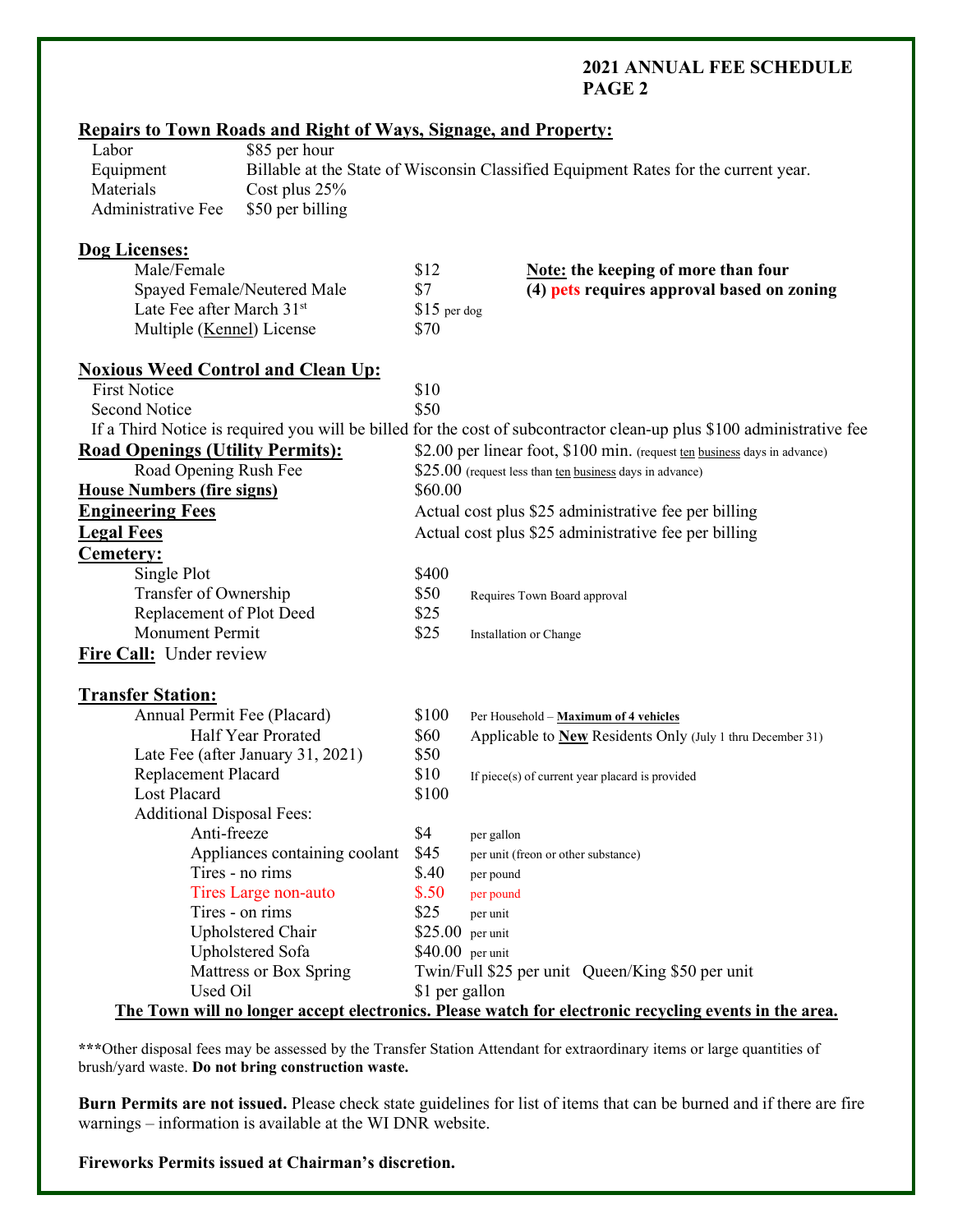| <b>Repairs to Town Roads and Right of Ways, Signage, and Property:</b>     |                |                                                                                                                       |
|----------------------------------------------------------------------------|----------------|-----------------------------------------------------------------------------------------------------------------------|
| \$85 per hour<br>Labor                                                     |                |                                                                                                                       |
| Equipment                                                                  |                | Billable at the State of Wisconsin Classified Equipment Rates for the current year.                                   |
| Materials<br>Cost plus 25%                                                 |                |                                                                                                                       |
| Administrative Fee<br>\$50 per billing                                     |                |                                                                                                                       |
| Dog Licenses:                                                              |                |                                                                                                                       |
| Male/Female                                                                | \$12           | <b>Note:</b> the keeping of more than four                                                                            |
| Spayed Female/Neutered Male                                                | \$7            | (4) pets requires approval based on zoning                                                                            |
| Late Fee after March 31st                                                  | $$15$ per dog  |                                                                                                                       |
| Multiple (Kennel) License                                                  | \$70           |                                                                                                                       |
| <b>Noxious Weed Control and Clean Up:</b>                                  |                |                                                                                                                       |
| <b>First Notice</b>                                                        | \$10           |                                                                                                                       |
| <b>Second Notice</b>                                                       | \$50           |                                                                                                                       |
|                                                                            |                | If a Third Notice is required you will be billed for the cost of subcontractor clean-up plus \$100 administrative fee |
| <b>Road Openings (Utility Permits):</b>                                    |                | \$2.00 per linear foot, \$100 min. (request ten business days in advance)                                             |
| Road Opening Rush Fee                                                      |                | $$25.00$ (request less than ten business days in advance)                                                             |
| <b>House Numbers (fire signs)</b>                                          | \$60.00        |                                                                                                                       |
| <b>Engineering Fees</b>                                                    |                | Actual cost plus \$25 administrative fee per billing                                                                  |
| <b>Legal Fees</b>                                                          |                | Actual cost plus \$25 administrative fee per billing                                                                  |
| Cemetery:                                                                  |                |                                                                                                                       |
| Single Plot                                                                | \$400          |                                                                                                                       |
| Transfer of Ownership                                                      | \$50           | Requires Town Board approval                                                                                          |
| Replacement of Plot Deed                                                   |                |                                                                                                                       |
| \$25<br><b>Monument Permit</b><br>\$25                                     |                | Installation or Change                                                                                                |
| Fire Call: Under review                                                    |                |                                                                                                                       |
|                                                                            |                |                                                                                                                       |
| <b>Transfer Station:</b>                                                   |                |                                                                                                                       |
| Annual Permit Fee (Placard)                                                | \$100          | Per Household - Maximum of 4 vehicles                                                                                 |
| Half Year Prorated                                                         | \$60           | Applicable to New Residents Only (July 1 thru December 31)                                                            |
| Late Fee (after January 31, 2021)                                          | \$50           |                                                                                                                       |
| Replacement Placard                                                        | \$10           | If piece(s) of current year placard is provided                                                                       |
| Lost Placard                                                               | \$100          |                                                                                                                       |
| <b>Additional Disposal Fees:</b>                                           |                |                                                                                                                       |
| Anti-freeze                                                                | \$4            | per gallon                                                                                                            |
| Appliances containing coolant                                              | \$45           | per unit (freon or other substance)                                                                                   |
| Tires - no rims                                                            | \$.40          | per pound                                                                                                             |
| Tires Large non-auto<br>\$.50<br>per pound                                 |                |                                                                                                                       |
| Tires - on rims<br>\$25<br>per unit                                        |                |                                                                                                                       |
| Upholstered Chair<br>$$25.00$ per unit                                     |                |                                                                                                                       |
| Upholstered Sofa<br>$$40.00$ per unit                                      |                |                                                                                                                       |
| Mattress or Box Spring<br>Twin/Full \$25 per unit Queen/King \$50 per unit |                |                                                                                                                       |
| Used Oil                                                                   | \$1 per gallon |                                                                                                                       |
|                                                                            |                | The Town will no longer accept electronics. Please watch for electronic recycling events in the area.                 |

**\*\*\***Other disposal fees may be assessed by the Transfer Station Attendant for extraordinary items or large quantities of brush/yard waste. **Do not bring construction waste.**

**Burn Permits are not issued.** Please check state guidelines for list of items that can be burned and if there are fire warnings – information is available at the WI DNR website.

**Fireworks Permits issued at Chairman's discretion.**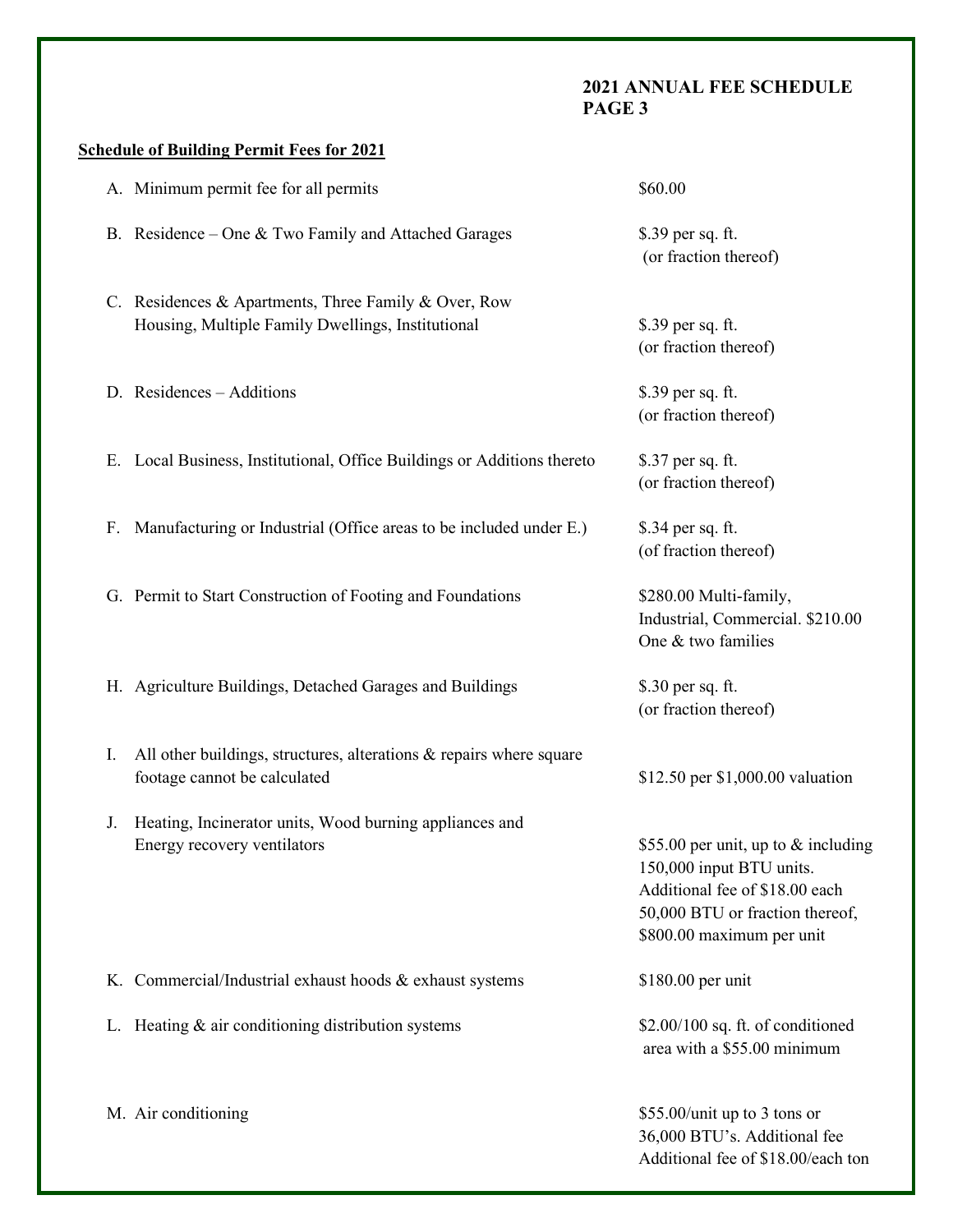# **Schedule of Building Permit Fees for 2021**

| A. Minimum permit fee for all permits                                                                        | \$60.00                                                                                                                                                           |
|--------------------------------------------------------------------------------------------------------------|-------------------------------------------------------------------------------------------------------------------------------------------------------------------|
| B. Residence - One & Two Family and Attached Garages                                                         | \$.39 per sq. ft.<br>(or fraction thereof)                                                                                                                        |
| C. Residences & Apartments, Three Family & Over, Row<br>Housing, Multiple Family Dwellings, Institutional    | \$.39 per sq. ft.<br>(or fraction thereof)                                                                                                                        |
| D. Residences - Additions                                                                                    | \$.39 per sq. ft.<br>(or fraction thereof)                                                                                                                        |
| E. Local Business, Institutional, Office Buildings or Additions thereto                                      | \$.37 per sq. ft.<br>(or fraction thereof)                                                                                                                        |
| F. Manufacturing or Industrial (Office areas to be included under E.)                                        | \$.34 per sq. ft.<br>(of fraction thereof)                                                                                                                        |
| G. Permit to Start Construction of Footing and Foundations                                                   | \$280.00 Multi-family,<br>Industrial, Commercial. \$210.00<br>One & two families                                                                                  |
| H. Agriculture Buildings, Detached Garages and Buildings                                                     | \$.30 per sq. ft.<br>(or fraction thereof)                                                                                                                        |
| All other buildings, structures, alterations $\&$ repairs where square<br>I.<br>footage cannot be calculated | \$12.50 per \$1,000.00 valuation                                                                                                                                  |
| Heating, Incinerator units, Wood burning appliances and<br>J.<br>Energy recovery ventilators                 | \$55.00 per unit, up to & including<br>150,000 input BTU units.<br>Additional fee of \$18.00 each<br>50,000 BTU or fraction thereof,<br>\$800.00 maximum per unit |
| K. Commercial/Industrial exhaust hoods & exhaust systems                                                     | \$180.00 per unit                                                                                                                                                 |
| L. Heating $&$ air conditioning distribution systems                                                         | \$2.00/100 sq. ft. of conditioned<br>area with a \$55.00 minimum                                                                                                  |
| M. Air conditioning                                                                                          | \$55.00/unit up to 3 tons or<br>36,000 BTU's. Additional fee<br>Additional fee of \$18.00/each ton                                                                |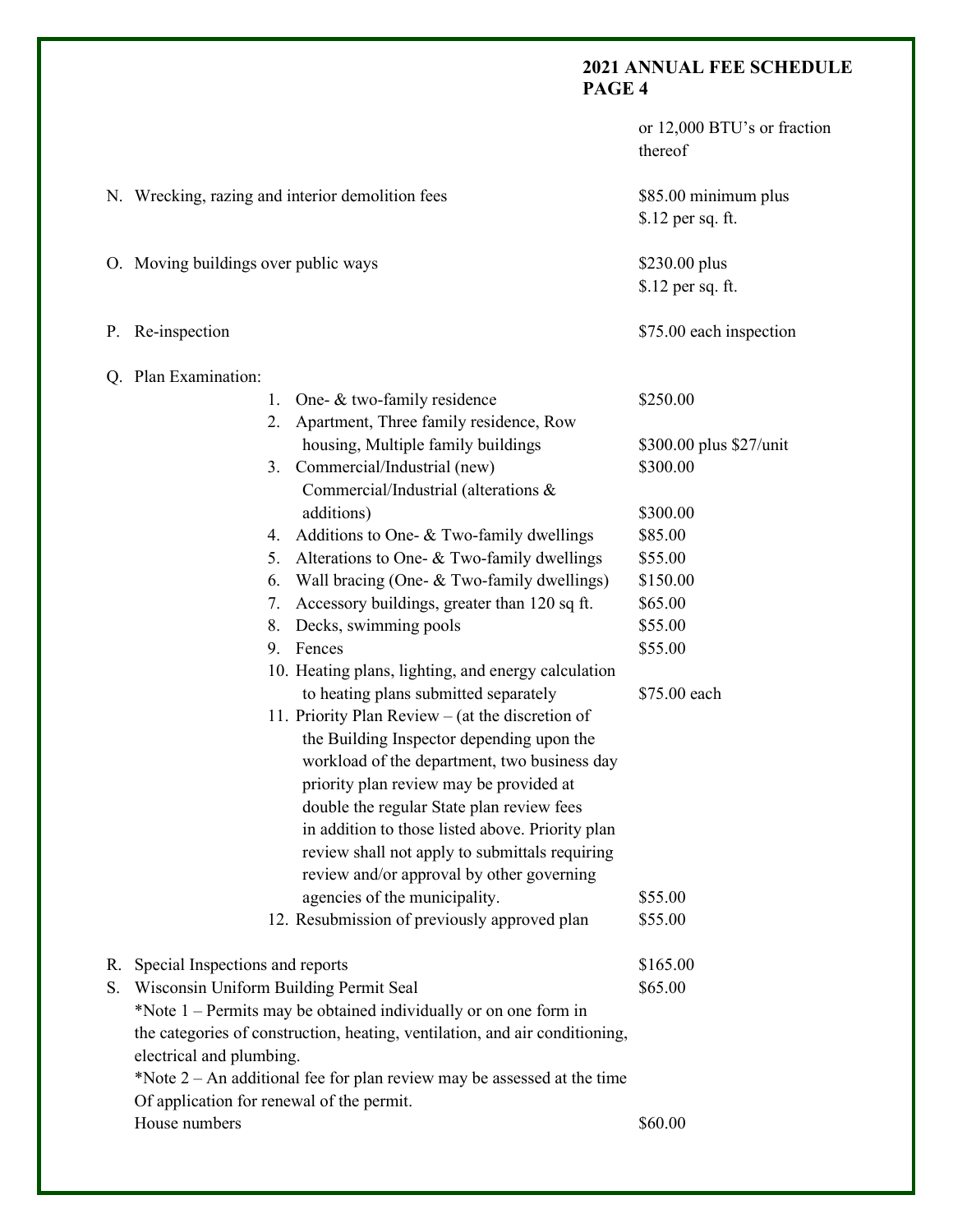|    |                                      |                                                                                                                                               | or 12,000 BTU's or fraction<br>thereof    |
|----|--------------------------------------|-----------------------------------------------------------------------------------------------------------------------------------------------|-------------------------------------------|
|    |                                      | N. Wrecking, razing and interior demolition fees                                                                                              | \$85.00 minimum plus<br>\$.12 per sq. ft. |
|    | O. Moving buildings over public ways |                                                                                                                                               | \$230.00 plus<br>\$.12 per sq. ft.        |
|    | P. Re-inspection                     |                                                                                                                                               | \$75.00 each inspection                   |
|    | Q. Plan Examination:                 |                                                                                                                                               |                                           |
|    |                                      | One- & two-family residence<br>1.<br>2. Apartment, Three family residence, Row                                                                | \$250.00                                  |
|    |                                      | housing, Multiple family buildings                                                                                                            | \$300.00 plus \$27/unit                   |
|    |                                      | 3. Commercial/Industrial (new)<br>Commercial/Industrial (alterations &                                                                        | \$300.00                                  |
|    |                                      | additions)                                                                                                                                    | \$300.00                                  |
|    |                                      | 4. Additions to One- & Two-family dwellings                                                                                                   | \$85.00                                   |
|    |                                      | Alterations to One- & Two-family dwellings<br>5.                                                                                              | \$55.00                                   |
|    |                                      | Wall bracing (One- & Two-family dwellings)<br>6.                                                                                              | \$150.00                                  |
|    |                                      | Accessory buildings, greater than 120 sq ft.<br>7.                                                                                            | \$65.00                                   |
|    |                                      | Decks, swimming pools<br>8.                                                                                                                   | \$55.00                                   |
|    |                                      | 9. Fences                                                                                                                                     | \$55.00                                   |
|    |                                      | 10. Heating plans, lighting, and energy calculation<br>to heating plans submitted separately                                                  | \$75.00 each                              |
|    |                                      | 11. Priority Plan Review – (at the discretion of<br>the Building Inspector depending upon the<br>workload of the department, two business day |                                           |
|    |                                      | priority plan review may be provided at                                                                                                       |                                           |
|    |                                      | double the regular State plan review fees                                                                                                     |                                           |
|    |                                      | in addition to those listed above. Priority plan                                                                                              |                                           |
|    |                                      | review shall not apply to submittals requiring                                                                                                |                                           |
|    |                                      | review and/or approval by other governing                                                                                                     |                                           |
|    |                                      | agencies of the municipality.                                                                                                                 | \$55.00                                   |
|    |                                      | 12. Resubmission of previously approved plan                                                                                                  | \$55.00                                   |
| R. | Special Inspections and reports      |                                                                                                                                               | \$165.00                                  |
| S. |                                      | Wisconsin Uniform Building Permit Seal                                                                                                        | \$65.00                                   |
|    |                                      | *Note 1 – Permits may be obtained individually or on one form in                                                                              |                                           |
|    |                                      | the categories of construction, heating, ventilation, and air conditioning,                                                                   |                                           |
|    | electrical and plumbing.             |                                                                                                                                               |                                           |
|    |                                      | *Note $2 - An$ additional fee for plan review may be assessed at the time                                                                     |                                           |
|    |                                      | Of application for renewal of the permit.                                                                                                     |                                           |
|    | House numbers                        |                                                                                                                                               | \$60.00                                   |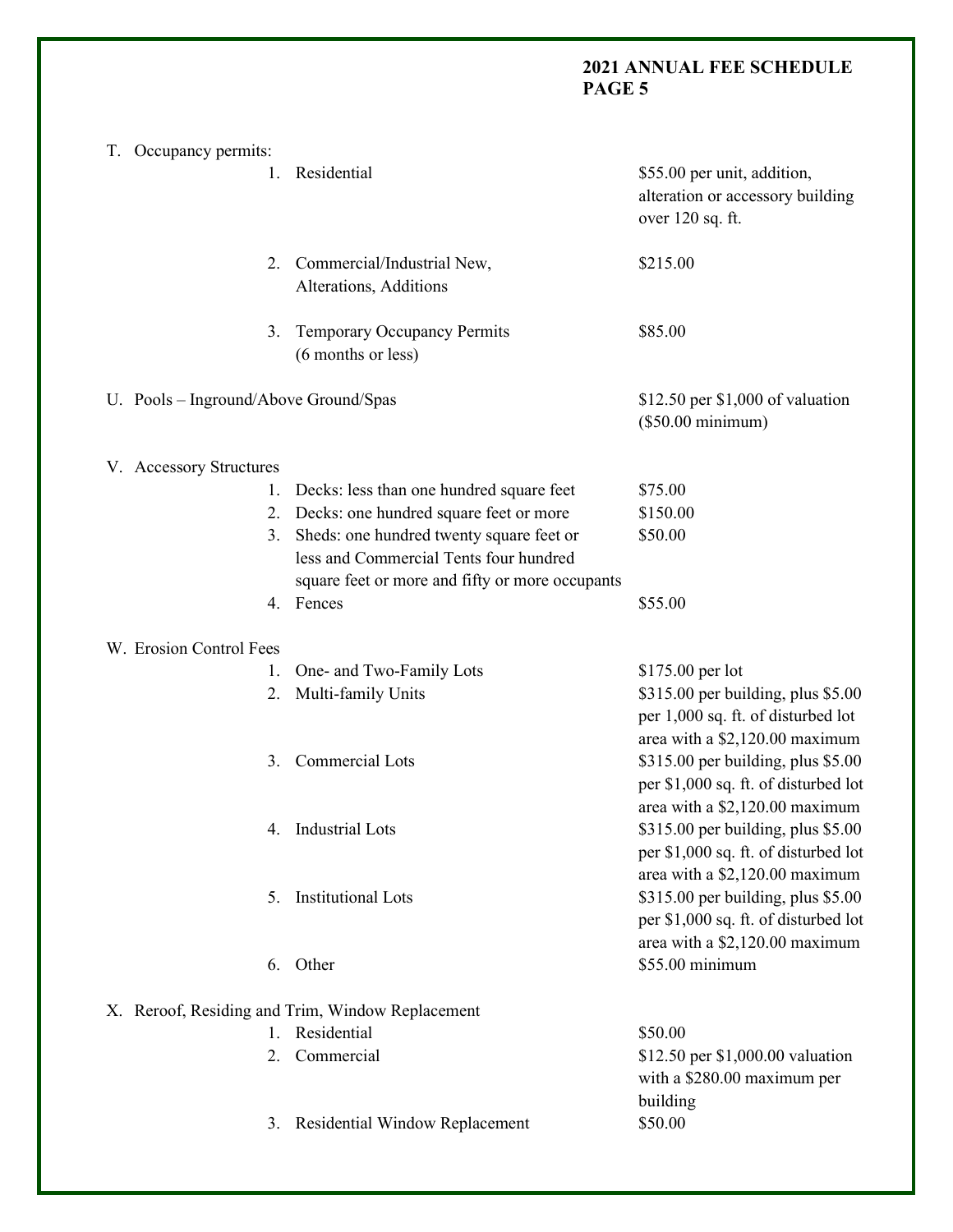| T. Occupancy permits:                            |                                                                                          |                                                                                                              |  |  |  |
|--------------------------------------------------|------------------------------------------------------------------------------------------|--------------------------------------------------------------------------------------------------------------|--|--|--|
|                                                  | Residential<br>1.                                                                        | \$55.00 per unit, addition,<br>alteration or accessory building<br>over 120 sq. ft.                          |  |  |  |
|                                                  | Commercial/Industrial New,<br>2.<br>Alterations, Additions                               | \$215.00                                                                                                     |  |  |  |
|                                                  | <b>Temporary Occupancy Permits</b><br>3.<br>(6 months or less)                           | \$85.00                                                                                                      |  |  |  |
| U. Pools - Inground/Above Ground/Spas            |                                                                                          | $$12.50$ per $$1,000$ of valuation<br>$(\$50.00$ minimum)                                                    |  |  |  |
| V. Accessory Structures                          |                                                                                          |                                                                                                              |  |  |  |
|                                                  | Decks: less than one hundred square feet<br>1.                                           | \$75.00                                                                                                      |  |  |  |
|                                                  | Decks: one hundred square feet or more<br>2.                                             | \$150.00                                                                                                     |  |  |  |
|                                                  | Sheds: one hundred twenty square feet or<br>3.<br>less and Commercial Tents four hundred | \$50.00                                                                                                      |  |  |  |
|                                                  | square feet or more and fifty or more occupants                                          |                                                                                                              |  |  |  |
|                                                  | 4. Fences                                                                                | \$55.00                                                                                                      |  |  |  |
| W. Erosion Control Fees                          |                                                                                          |                                                                                                              |  |  |  |
|                                                  | One- and Two-Family Lots<br>1.                                                           | \$175.00 per lot                                                                                             |  |  |  |
|                                                  | Multi-family Units<br>2.                                                                 | \$315.00 per building, plus \$5.00<br>per 1,000 sq. ft. of disturbed lot<br>area with a \$2,120.00 maximum   |  |  |  |
|                                                  | Commercial Lots<br>3.                                                                    | \$315.00 per building, plus \$5.00<br>per \$1,000 sq. ft. of disturbed lot<br>area with a \$2,120.00 maximum |  |  |  |
|                                                  | Industrial Lots                                                                          | \$315.00 per building, plus \$5.00<br>per \$1,000 sq. ft. of disturbed lot<br>area with a \$2,120.00 maximum |  |  |  |
|                                                  | <b>Institutional Lots</b><br>5.                                                          | \$315.00 per building, plus \$5.00<br>per \$1,000 sq. ft. of disturbed lot<br>area with a \$2,120.00 maximum |  |  |  |
|                                                  | Other<br>6.                                                                              | \$55.00 minimum                                                                                              |  |  |  |
| X. Reroof, Residing and Trim, Window Replacement |                                                                                          |                                                                                                              |  |  |  |
|                                                  | 1. Residential                                                                           | \$50.00                                                                                                      |  |  |  |
|                                                  | Commercial<br>2.                                                                         | \$12.50 per \$1,000.00 valuation<br>with a \$280.00 maximum per<br>building                                  |  |  |  |
|                                                  | <b>Residential Window Replacement</b><br>3.                                              | \$50.00                                                                                                      |  |  |  |